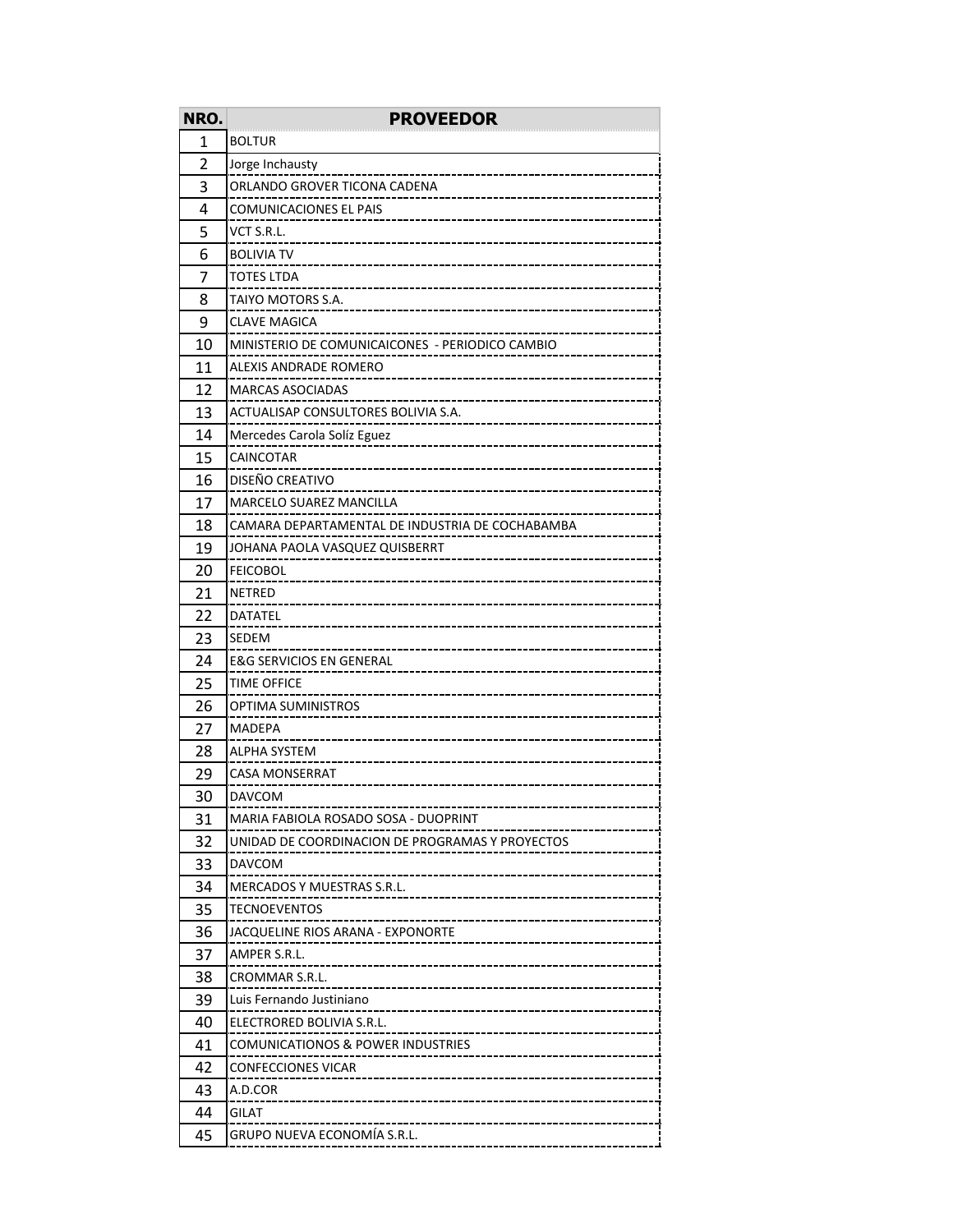| NRO.           | <b>PROVEEDOR</b>                                          |
|----------------|-----------------------------------------------------------|
| 1              | <b>BOLTUR</b>                                             |
| $\overline{2}$ | Jorge Inchausty                                           |
| 3              | ORLANDO GROVER TICONA CADENA                              |
| 4              | <b>COMUNICACIONES EL PAIS</b>                             |
| 5              | VCT S.R.L.                                                |
| 6              | <b>BOLIVIA TV</b>                                         |
| 7              | TOTES LTDA                                                |
| 8              | TAIYO MOTORS S.A.                                         |
| 9              | CLAVE MAGICA                                              |
| 10             | MINISTERIO DE COMUNICAICONES - PERIODICO CAMBIO           |
| 11             | ALEXIS ANDRADE ROMERO                                     |
| 12             | <b>MARCAS ASOCIADAS</b>                                   |
| 13             | ACTUALISAP CONSULTORES BOLIVIA S.A.                       |
| 14             | Mercedes Carola Solíz Eguez                               |
| 15             | CAINCOTAR                                                 |
| 16             | DISEÑO CREATIVO                                           |
| 17             | MARCELO SUAREZ MANCILLA                                   |
| 18             | CAMARA DEPARTAMENTAL DE INDUSTRIA DE COCHABAMBA           |
| 19             | JOHANA PAOLA VASQUEZ QUISBERRT                            |
| 20             | <b>FEICOBOL</b>                                           |
| 21             | NETRED                                                    |
| 22             | DATATEL                                                   |
| 23             | SEDEM                                                     |
| 24             | <b>E&amp;G SERVICIOS EN GENERAL</b>                       |
| 25             | TIME OFFICE                                               |
| 26             | OPTIMA SUMINISTROS                                        |
| 27             | MADEPA                                                    |
| 28             | ALPHA SYSTEM                                              |
| 29             | CASA MONSERRAT                                            |
| 30             | DAVCOM                                                    |
| 31             | MARIA FABIOLA ROSADO SOSA - DUOPRINT                      |
| 32             | UNIDAD DE COORDINACION DE PROGRAMAS Y PROYECTOS           |
| 33             | DAVCOM                                                    |
| 34             | MERCADOS Y MUESTRAS S.R.L.                                |
| 35             | TECNOEVENTOS<br>------------------------------            |
| 36             | JACQUELINE RIOS ARANA - EXPONORTE                         |
| 37             | AMPER S.R.L.                                              |
| 38             | CROMMAR S.R.L.                                            |
| 39             | Luis Fernando Justiniano                                  |
| 40             | ELECTRORED BOLIVIA S.R.L.<br>---------------------------- |
| 41             | COMUNICATIONOS & POWER INDUSTRIES                         |
| 42             | <b>CONFECCIONES VICAR</b>                                 |
| 43             | A.D.COR                                                   |
| 44             | GILAT<br>--------------------------------------           |
| 45             | GRUPO NUEVA ECONOMÍA S.R.L.                               |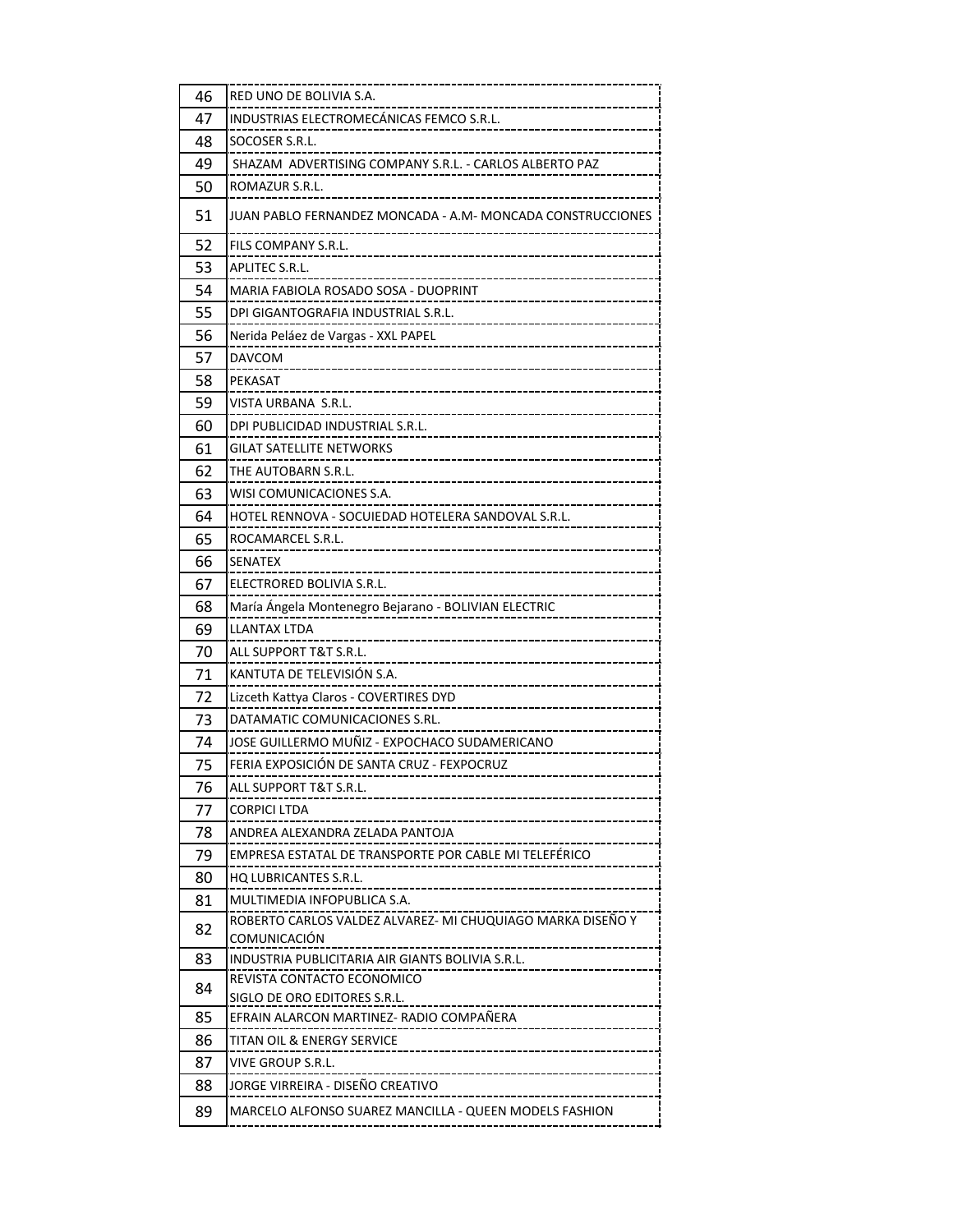| 46 | RED UNO DE BOLIVIA S.A.                                                    |
|----|----------------------------------------------------------------------------|
| 47 | INDUSTRIAS ELECTROMECÁNICAS FEMCO S.R.L.                                   |
| 48 | SOCOSER S.R.L.                                                             |
| 49 | SHAZAM ADVERTISING COMPANY S.R.L. - CARLOS ALBERTO PAZ                     |
| 50 | ROMAZUR S.R.L.                                                             |
| 51 | JUAN PABLO FERNANDEZ MONCADA - A.M- MONCADA CONSTRUCCIONES                 |
| 52 | FILS COMPANY S.R.L.                                                        |
| 53 | APLITEC S.R.L.                                                             |
| 54 | MARIA FABIOLA ROSADO SOSA - DUOPRINT                                       |
| 55 | DPI GIGANTOGRAFIA INDUSTRIAL S.R.L.                                        |
| 56 | Nerida Peláez de Vargas - XXL PAPEL                                        |
| 57 | <b>DAVCOM</b>                                                              |
| 58 | PEKASAT                                                                    |
| 59 | VISTA URBANA S.R.L.                                                        |
| 60 | DPI PUBLICIDAD INDUSTRIAL S.R.L.                                           |
| 61 | GILAT SATELLITE NETWORKS                                                   |
| 62 | THE AUTOBARN S.R.L.                                                        |
| 63 | WISI COMUNICACIONES S.A.                                                   |
| 64 | HOTEL RENNOVA - SOCUIEDAD HOTELERA SANDOVAL S.R.L.                         |
| 65 | ROCAMARCEL S.R.L.                                                          |
| 66 | <b>SENATEX</b>                                                             |
| 67 | ELECTRORED BOLIVIA S.R.L.                                                  |
| 68 | María Ángela Montenegro Bejarano - BOLIVIAN ELECTRIC                       |
| 69 | <b>LLANTAX LTDA</b>                                                        |
| 70 | ALL SUPPORT T&T S.R.L.                                                     |
| 71 | KANTUTA DE TELEVISIÓN S.A.                                                 |
| 72 | Lizceth Kattya Claros - COVERTIRES DYD                                     |
| 73 | DATAMATIC COMUNICACIONES S.RL.                                             |
| 74 | JOSE GUILLERMO MUÑIZ - EXPOCHACO SUDAMERICANO                              |
| 75 | FERIA EXPOSICIÓN DE SANTA CRUZ - FEXPOCRUZ                                 |
| 76 | ALL SUPPORT T&T S.R.L.                                                     |
| 77 | CORPICI LTDA<br>-----------------------                                    |
| 78 | ANDREA ALEXANDRA ZELADA PANTOJA                                            |
| 79 | EMPRESA ESTATAL DE TRANSPORTE POR CABLE MI TELEFÉRICO                      |
| 80 | <b>HO LUBRICANTES S.R.L.</b><br>_________                                  |
| 81 | MULTIMEDIA INFOPUBLICA S.A.                                                |
| 82 | ROBERTO CARLOS VALDEZ ALVAREZ- MI CHUQUIAGO MARKA DISEÑO Y<br>COMUNICACIÓN |
| 83 | INDUSTRIA PUBLICITARIA AIR GIANTS BOLIVIA S.R.L.                           |
| 84 | REVISTA CONTACTO ECONOMICO                                                 |
|    | SIGLO DE ORO EDITORES S.R.L.                                               |
| 85 | EFRAIN ALARCON MARTINEZ- RADIO COMPAÑERA<br>                               |
| 86 | TITAN OIL & ENERGY SERVICE<br>--------------------------------             |
| 87 | VIVE GROUP S.R.L.                                                          |
| 88 | JORGE VIRREIRA - DISEÑO CREATIVO                                           |
| 89 | MARCELO ALFONSO SUAREZ MANCILLA - QUEEN MODELS FASHION                     |